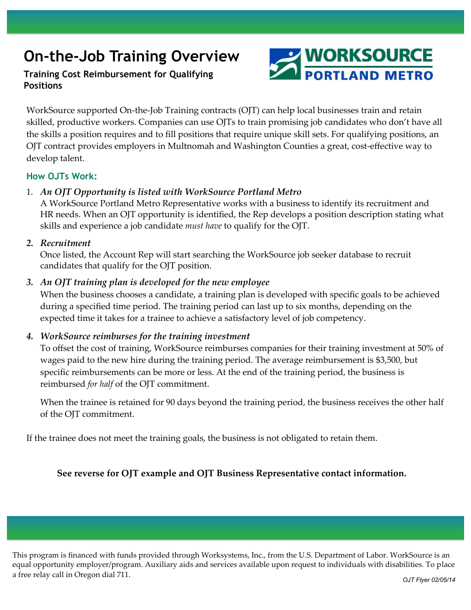# **On-the-Job Training Overview**

# **Training Cost Reimbursement for Qualifying Positions**



WorkSource supported On-the-Job Training contracts (OJT) can help local businesses train and retain skilled, productive workers. Companies can use OJTs to train promising job candidates who don't have all the skills a position requires and to fill positions that require unique skill sets. For qualifying positions, an OJT contract provides employers in Multnomah and Washington Counties a great, cost-effective way to develop talent.

### **How OJTs Work:**

### 1. *An OJT Opportunity is listed with WorkSource Portland Metro*

A WorkSource Portland Metro Representative works with a business to identify its recruitment and HR needs. When an OJT opportunity is identified, the Rep develops a position description stating what skills and experience a job candidate *must have* to qualify for the OJT.

#### *2. Recruitment*

Once listed, the Account Rep will start searching the WorkSource job seeker database to recruit candidates that qualify for the OJT position.

### *3. An OJT training plan is developed for the new employee*

When the business chooses a candidate, a training plan is developed with specific goals to be achieved during a specified time period. The training period can last up to six months, depending on the expected time it takes for a trainee to achieve a satisfactory level of job competency.

#### *4. WorkSource reimburses for the training investment*

To offset the cost of training, WorkSource reimburses companies for their training investment at 50% of wages paid to the new hire during the training period. The average reimbursement is \$3,500, but specific reimbursements can be more or less. At the end of the training period, the business is reimbursed *for half* of the OJT commitment.

When the trainee is retained for 90 days beyond the training period, the business receives the other half of the OJT commitment.

If the trainee does not meet the training goals, the business is not obligated to retain them.

## **See reverse for OJT example and OJT Business Representative contact information.**

This program is financed with funds provided through Worksystems, Inc., from the U.S. Department of Labor. WorkSource is an equal opportunity employer/program. Auxiliary aids and services available upon request to individuals with disabilities. To place a free relay call in Oregon dial 711.